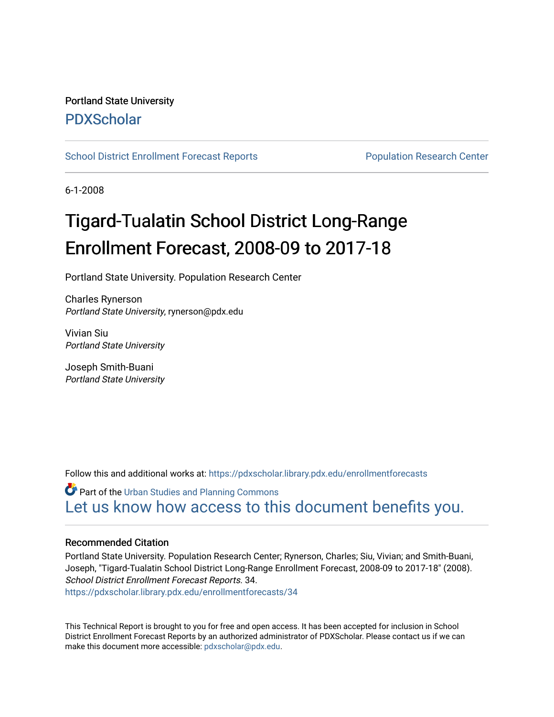# Portland State University [PDXScholar](https://pdxscholar.library.pdx.edu/)

[School District Enrollment Forecast Reports](https://pdxscholar.library.pdx.edu/enrollmentforecasts) **Population Research Center** Population Research Center

6-1-2008

# Tigard-Tualatin School District Long-Range Enrollment Forecast, 2008-09 to 2017-18

Portland State University. Population Research Center

Charles Rynerson Portland State University, rynerson@pdx.edu

Vivian Siu Portland State University

Joseph Smith-Buani Portland State University

Follow this and additional works at: [https://pdxscholar.library.pdx.edu/enrollmentforecasts](https://pdxscholar.library.pdx.edu/enrollmentforecasts?utm_source=pdxscholar.library.pdx.edu%2Fenrollmentforecasts%2F34&utm_medium=PDF&utm_campaign=PDFCoverPages) 

**Part of the [Urban Studies and Planning Commons](http://network.bepress.com/hgg/discipline/436?utm_source=pdxscholar.library.pdx.edu%2Fenrollmentforecasts%2F34&utm_medium=PDF&utm_campaign=PDFCoverPages)** [Let us know how access to this document benefits you.](http://library.pdx.edu/services/pdxscholar-services/pdxscholar-feedback/?ref=https://pdxscholar.library.pdx.edu/enrollmentforecasts/34) 

### Recommended Citation

Portland State University. Population Research Center; Rynerson, Charles; Siu, Vivian; and Smith-Buani, Joseph, "Tigard-Tualatin School District Long-Range Enrollment Forecast, 2008-09 to 2017-18" (2008). School District Enrollment Forecast Reports. 34.

[https://pdxscholar.library.pdx.edu/enrollmentforecasts/34](https://pdxscholar.library.pdx.edu/enrollmentforecasts/34?utm_source=pdxscholar.library.pdx.edu%2Fenrollmentforecasts%2F34&utm_medium=PDF&utm_campaign=PDFCoverPages)

This Technical Report is brought to you for free and open access. It has been accepted for inclusion in School District Enrollment Forecast Reports by an authorized administrator of PDXScholar. Please contact us if we can make this document more accessible: [pdxscholar@pdx.edu.](mailto:pdxscholar@pdx.edu)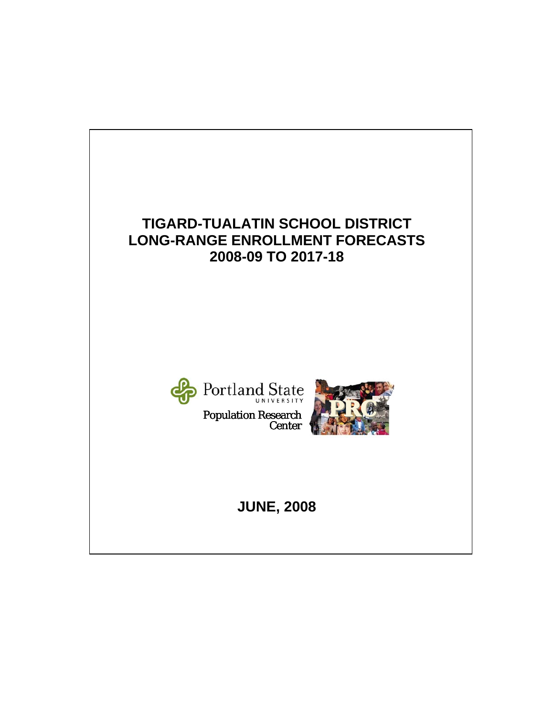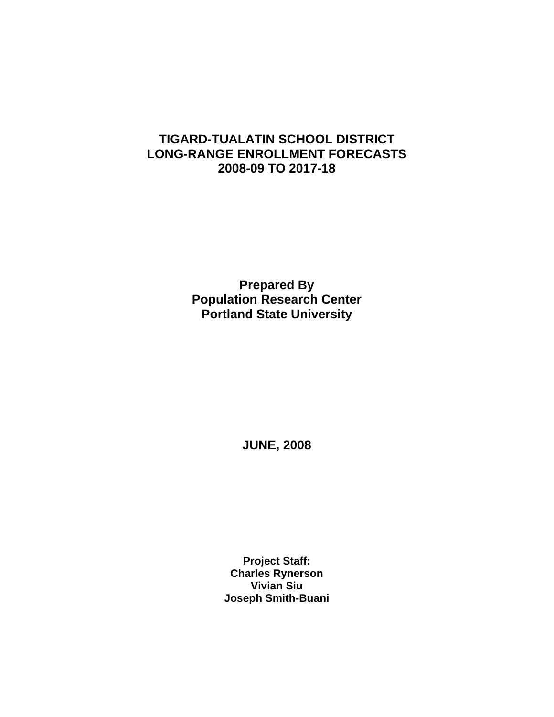# **TIGARD-TUALATIN SCHOOL DISTRICT LONG-RANGE ENROLLMENT FORECASTS 2008-09 TO 2017-18**

**Prepared By Population Research Center Portland State University** 

**JUNE, 2008** 

**Project Staff: Charles Rynerson Vivian Siu Joseph Smith-Buani**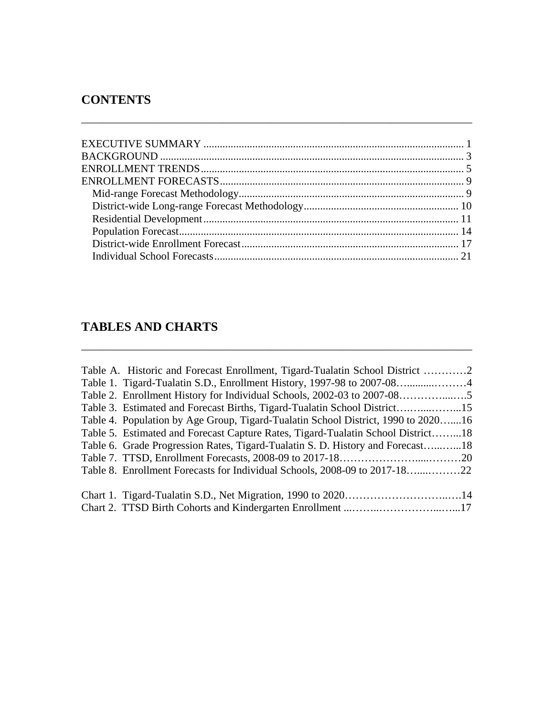# **CONTENTS**

\_\_\_\_\_\_\_\_\_\_\_\_\_\_\_\_\_\_\_\_\_\_\_\_\_\_\_\_\_\_\_\_\_\_\_\_\_\_\_\_\_\_\_\_\_\_\_\_\_\_\_\_\_\_\_\_\_\_\_\_\_\_\_\_\_\_\_\_\_\_\_\_

# **TABLES AND CHARTS**

| Table A. Historic and Forecast Enrollment, Tigard-Tualatin School District 2      |  |
|-----------------------------------------------------------------------------------|--|
|                                                                                   |  |
|                                                                                   |  |
| Table 3. Estimated and Forecast Births, Tigard-Tualatin School District15         |  |
| Table 4. Population by Age Group, Tigard-Tualatin School District, 1990 to 202016 |  |
| Table 5. Estimated and Forecast Capture Rates, Tigard-Tualatin School District18  |  |
| Table 6. Grade Progression Rates, Tigard-Tualatin S. D. History and Forecast18    |  |
|                                                                                   |  |
|                                                                                   |  |
|                                                                                   |  |
|                                                                                   |  |

\_\_\_\_\_\_\_\_\_\_\_\_\_\_\_\_\_\_\_\_\_\_\_\_\_\_\_\_\_\_\_\_\_\_\_\_\_\_\_\_\_\_\_\_\_\_\_\_\_\_\_\_\_\_\_\_\_\_\_\_\_\_\_\_\_\_\_\_\_\_\_\_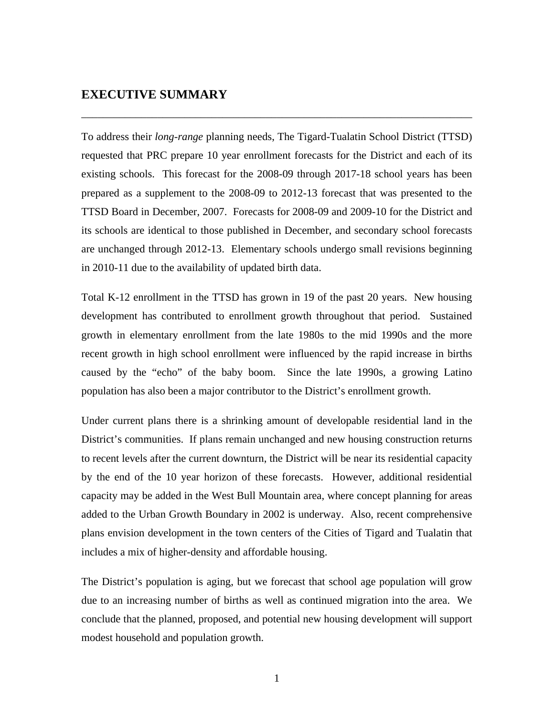# **EXECUTIVE SUMMARY**

To address their *long-range* planning needs, The Tigard-Tualatin School District (TTSD) requested that PRC prepare 10 year enrollment forecasts for the District and each of its existing schools. This forecast for the 2008-09 through 2017-18 school years has been prepared as a supplement to the 2008-09 to 2012-13 forecast that was presented to the TTSD Board in December, 2007. Forecasts for 2008-09 and 2009-10 for the District and its schools are identical to those published in December, and secondary school forecasts are unchanged through 2012-13. Elementary schools undergo small revisions beginning in 2010-11 due to the availability of updated birth data.

\_\_\_\_\_\_\_\_\_\_\_\_\_\_\_\_\_\_\_\_\_\_\_\_\_\_\_\_\_\_\_\_\_\_\_\_\_\_\_\_\_\_\_\_\_\_\_\_\_\_\_\_\_\_\_\_\_\_\_\_\_\_\_\_\_\_\_\_\_\_\_\_

Total K-12 enrollment in the TTSD has grown in 19 of the past 20 years. New housing development has contributed to enrollment growth throughout that period. Sustained growth in elementary enrollment from the late 1980s to the mid 1990s and the more recent growth in high school enrollment were influenced by the rapid increase in births caused by the "echo" of the baby boom. Since the late 1990s, a growing Latino population has also been a major contributor to the District's enrollment growth.

Under current plans there is a shrinking amount of developable residential land in the District's communities. If plans remain unchanged and new housing construction returns to recent levels after the current downturn, the District will be near its residential capacity by the end of the 10 year horizon of these forecasts. However, additional residential capacity may be added in the West Bull Mountain area, where concept planning for areas added to the Urban Growth Boundary in 2002 is underway. Also, recent comprehensive plans envision development in the town centers of the Cities of Tigard and Tualatin that includes a mix of higher-density and affordable housing.

The District's population is aging, but we forecast that school age population will grow due to an increasing number of births as well as continued migration into the area. We conclude that the planned, proposed, and potential new housing development will support modest household and population growth.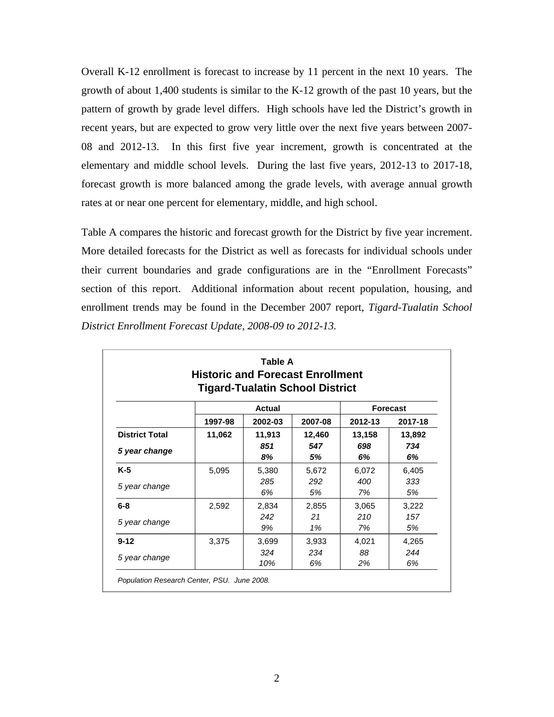Overall K-12 enrollment is forecast to increase by 11 percent in the next 10 years. The growth of about 1,400 students is similar to the K-12 growth of the past 10 years, but the pattern of growth by grade level differs. High schools have led the District's growth in recent years, but are expected to grow very little over the next five years between 2007- 08 and 2012-13. In this first five year increment, growth is concentrated at the elementary and middle school levels. During the last five years, 2012-13 to 2017-18, forecast growth is more balanced among the grade levels, with average annual growth rates at or near one percent for elementary, middle, and high school.

Table A compares the historic and forecast growth for the District by five year increment. More detailed forecasts for the District as well as forecasts for individual schools under their current boundaries and grade configurations are in the "Enrollment Forecasts" section of this report. Additional information about recent population, housing, and enrollment trends may be found in the December 2007 report, *Tigard-Tualatin School District Enrollment Forecast Update, 2008-09 to 2012-13.* 

|                       | <b>Historic and Forecast Enrollment</b> | Table A    | <b>Tigard-Tualatin School District</b> |                 |           |
|-----------------------|-----------------------------------------|------------|----------------------------------------|-----------------|-----------|
|                       |                                         | Actual     |                                        | <b>Forecast</b> |           |
|                       | 1997-98                                 | 2002-03    | 2007-08                                | 2012-13         | 2017-18   |
| <b>District Total</b> | 11,062                                  | 11,913     | 12,460                                 | 13,158          | 13,892    |
| 5 year change         |                                         | 851<br>8%  | 547<br>5%                              | 698<br>6%       | 734<br>6% |
| $K-5$                 | 5,095                                   | 5,380      | 5,672                                  | 6,072           | 6,405     |
| 5 year change         |                                         | 285<br>6%  | 292<br>5%                              | 400<br>7%       | 333<br>5% |
| $6 - 8$               | 2,592                                   | 2,834      | 2,855                                  | 3,065           | 3,222     |
| 5 year change         |                                         | 242<br>9%  | 21<br>1%                               | 210<br>7%       | 157<br>5% |
| $9 - 12$              | 3,375                                   | 3,699      | 3,933                                  | 4,021           | 4,265     |
| 5 year change         |                                         | 324<br>10% | 234<br>6%                              | 88<br>2%        | 244<br>6% |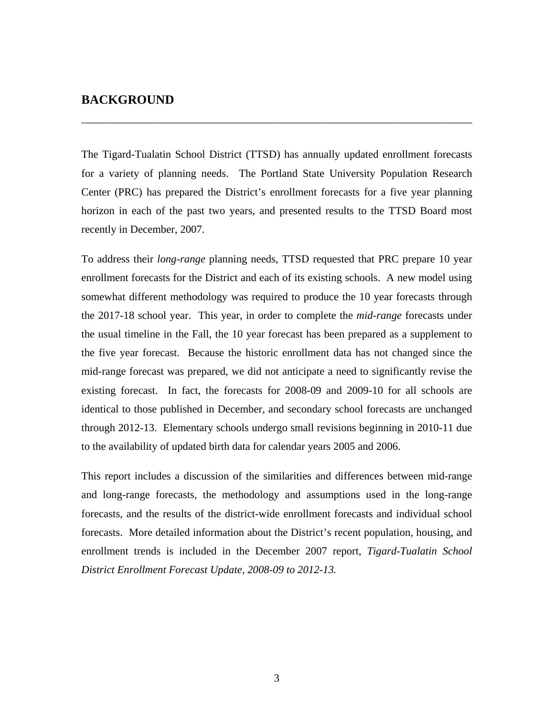## **BACKGROUND**

The Tigard-Tualatin School District (TTSD) has annually updated enrollment forecasts for a variety of planning needs. The Portland State University Population Research Center (PRC) has prepared the District's enrollment forecasts for a five year planning horizon in each of the past two years, and presented results to the TTSD Board most recently in December, 2007.

\_\_\_\_\_\_\_\_\_\_\_\_\_\_\_\_\_\_\_\_\_\_\_\_\_\_\_\_\_\_\_\_\_\_\_\_\_\_\_\_\_\_\_\_\_\_\_\_\_\_\_\_\_\_\_\_\_\_\_\_\_\_\_\_\_\_\_\_\_\_\_\_

To address their *long-range* planning needs, TTSD requested that PRC prepare 10 year enrollment forecasts for the District and each of its existing schools. A new model using somewhat different methodology was required to produce the 10 year forecasts through the 2017-18 school year. This year, in order to complete the *mid-range* forecasts under the usual timeline in the Fall, the 10 year forecast has been prepared as a supplement to the five year forecast. Because the historic enrollment data has not changed since the mid-range forecast was prepared, we did not anticipate a need to significantly revise the existing forecast. In fact, the forecasts for 2008-09 and 2009-10 for all schools are identical to those published in December, and secondary school forecasts are unchanged through 2012-13. Elementary schools undergo small revisions beginning in 2010-11 due to the availability of updated birth data for calendar years 2005 and 2006.

This report includes a discussion of the similarities and differences between mid-range and long-range forecasts, the methodology and assumptions used in the long-range forecasts, and the results of the district-wide enrollment forecasts and individual school forecasts. More detailed information about the District's recent population, housing, and enrollment trends is included in the December 2007 report, *Tigard-Tualatin School District Enrollment Forecast Update, 2008-09 to 2012-13.*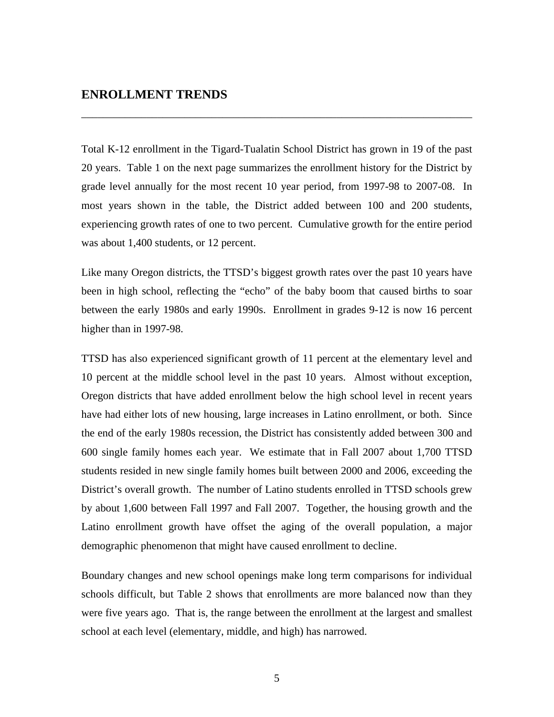# **ENROLLMENT TRENDS**

Total K-12 enrollment in the Tigard-Tualatin School District has grown in 19 of the past 20 years. Table 1 on the next page summarizes the enrollment history for the District by grade level annually for the most recent 10 year period, from 1997-98 to 2007-08. In most years shown in the table, the District added between 100 and 200 students, experiencing growth rates of one to two percent. Cumulative growth for the entire period was about 1,400 students, or 12 percent.

\_\_\_\_\_\_\_\_\_\_\_\_\_\_\_\_\_\_\_\_\_\_\_\_\_\_\_\_\_\_\_\_\_\_\_\_\_\_\_\_\_\_\_\_\_\_\_\_\_\_\_\_\_\_\_\_\_\_\_\_\_\_\_\_\_\_\_\_\_\_\_\_

Like many Oregon districts, the TTSD's biggest growth rates over the past 10 years have been in high school, reflecting the "echo" of the baby boom that caused births to soar between the early 1980s and early 1990s. Enrollment in grades 9-12 is now 16 percent higher than in 1997-98.

TTSD has also experienced significant growth of 11 percent at the elementary level and 10 percent at the middle school level in the past 10 years. Almost without exception, Oregon districts that have added enrollment below the high school level in recent years have had either lots of new housing, large increases in Latino enrollment, or both. Since the end of the early 1980s recession, the District has consistently added between 300 and 600 single family homes each year. We estimate that in Fall 2007 about 1,700 TTSD students resided in new single family homes built between 2000 and 2006, exceeding the District's overall growth. The number of Latino students enrolled in TTSD schools grew by about 1,600 between Fall 1997 and Fall 2007. Together, the housing growth and the Latino enrollment growth have offset the aging of the overall population, a major demographic phenomenon that might have caused enrollment to decline.

Boundary changes and new school openings make long term comparisons for individual schools difficult, but Table 2 shows that enrollments are more balanced now than they were five years ago. That is, the range between the enrollment at the largest and smallest school at each level (elementary, middle, and high) has narrowed.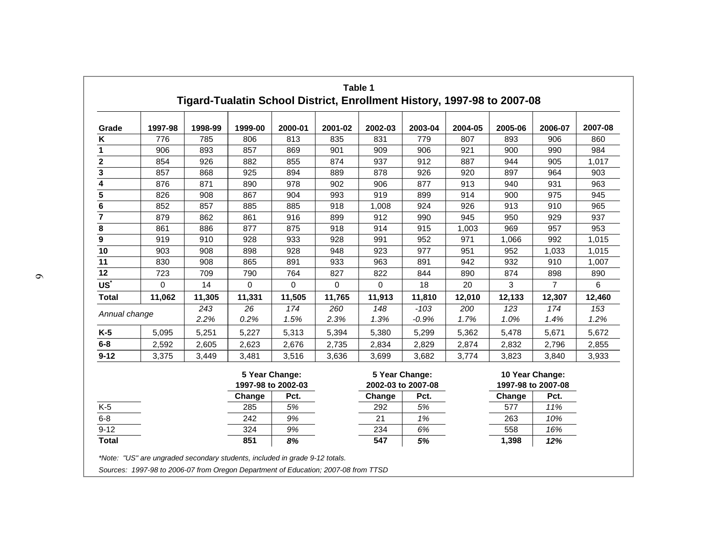|                         |         |         |         |                                      | Table 1     | Tigard-Tualatin School District, Enrollment History, 1997-98 to 2007-08 |                                      |         |         |                                       |         |
|-------------------------|---------|---------|---------|--------------------------------------|-------------|-------------------------------------------------------------------------|--------------------------------------|---------|---------|---------------------------------------|---------|
| Grade                   | 1997-98 | 1998-99 | 1999-00 | 2000-01                              | 2001-02     | 2002-03                                                                 | 2003-04                              | 2004-05 | 2005-06 | 2006-07                               | 2007-08 |
| Κ                       | 776     | 785     | 806     | 813                                  | 835         | 831                                                                     | 779                                  | 807     | 893     | 906                                   | 860     |
| $\mathbf{1}$            | 906     | 893     | 857     | 869                                  | 901         | 909                                                                     | 906                                  | 921     | 900     | 990                                   | 984     |
| $\overline{\mathbf{2}}$ | 854     | 926     | 882     | 855                                  | 874         | 937                                                                     | 912                                  | 887     | 944     | 905                                   | 1,017   |
| 3                       | 857     | 868     | 925     | 894                                  | 889         | 878                                                                     | 926                                  | 920     | 897     | 964                                   | 903     |
| 4                       | 876     | 871     | 890     | 978                                  | 902         | 906                                                                     | 877                                  | 913     | 940     | 931                                   | 963     |
| 5                       | 826     | 908     | 867     | 904                                  | 993         | 919                                                                     | 899                                  | 914     | 900     | 975                                   | 945     |
| 6                       | 852     | 857     | 885     | 885                                  | 918         | 1,008                                                                   | 924                                  | 926     | 913     | 910                                   | 965     |
|                         | 879     | 862     | 861     | 916                                  | 899         | 912                                                                     | 990                                  | 945     | 950     | 929                                   | 937     |
| 8                       | 861     | 886     | 877     | 875                                  | 918         | 914                                                                     | 915                                  | 1,003   | 969     | 957                                   | 953     |
| 9                       | 919     | 910     | 928     | 933                                  | 928         | 991                                                                     | 952                                  | 971     | 1,066   | 992                                   | 1,015   |
| 10                      | 903     | 908     | 898     | 928                                  | 948         | 923                                                                     | 977                                  | 951     | 952     | 1,033                                 | 1,015   |
| 11                      | 830     | 908     | 865     | 891                                  | 933         | 963                                                                     | 891                                  | 942     | 932     | 910                                   | 1,007   |
| 12                      | 723     | 709     | 790     | 764                                  | 827         | 822                                                                     | 844                                  | 890     | 874     | 898                                   | 890     |
| US <sup>*</sup>         | 0       | 14      | 0       | $\mathbf 0$                          | $\mathbf 0$ | 0                                                                       | 18                                   | 20      | 3       | $\overline{7}$                        | 6       |
| <b>Total</b>            | 11,062  | 11,305  | 11,331  | 11,505                               | 11,765      | 11,913                                                                  | 11,810                               | 12,010  | 12,133  | 12,307                                | 12,460  |
|                         |         | 243     | 26      | 174                                  | 260         | 148                                                                     | $-103$                               | 200     | 123     | 174                                   | 153     |
| Annual change           |         | 2.2%    | 0.2%    | 1.5%                                 | 2.3%        | 1.3%                                                                    | $-0.9%$                              | 1.7%    | 1.0%    | 1.4%                                  | 1.2%    |
| $K-5$                   | 5,095   | 5,251   | 5,227   | 5,313                                | 5,394       | 5,380                                                                   | 5,299                                | 5,362   | 5,478   | 5,671                                 | 5,672   |
| $6-8$                   | 2,592   | 2,605   | 2,623   | 2,676                                | 2,735       | 2,834                                                                   | 2,829                                | 2,874   | 2,832   | 2,796                                 | 2,855   |
| $9 - 12$                | 3,375   | 3,449   | 3,481   | 3,516                                | 3,636       | 3,699                                                                   | 3,682                                | 3,774   | 3,823   | 3,840                                 | 3,933   |
|                         |         |         |         | 5 Year Change:<br>1997-98 to 2002-03 |             |                                                                         | 5 Year Change:<br>2002-03 to 2007-08 |         |         | 10 Year Change:<br>1997-98 to 2007-08 |         |
|                         |         |         | Change  | Pct.                                 |             | Change                                                                  | Pct.                                 |         | Change  | Pct.                                  |         |
| $K-5$                   |         |         | 285     | 5%                                   |             | 292                                                                     | 5%                                   |         | 577     | 11%                                   |         |
| $6 - 8$                 |         |         | 242     | 9%                                   |             | 21                                                                      | 1%                                   |         | 263     | 10%                                   |         |
| $9 - 12$                |         |         | 324     | 9%                                   |             | 234                                                                     | 6%                                   |         | 558     | 16%                                   |         |
| <b>Total</b>            |         |         | 851     | 8%                                   |             | 547                                                                     | 5%                                   |         | 1,398   | 12%                                   |         |

*Sources: 1997-98 to 2006-07 from Oregon Department of Education; 2007-08 from TTSD*

 $\sigma$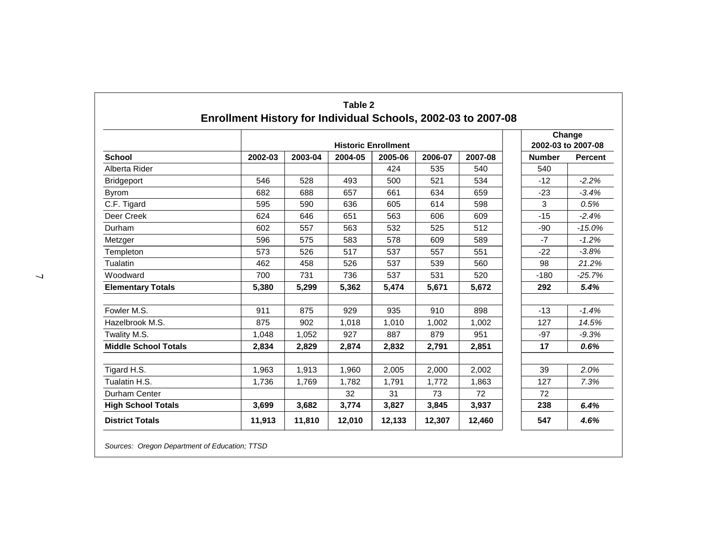|                             |         | Change<br>2002-03 to 2007-08 |         |         |         |         |               |                |
|-----------------------------|---------|------------------------------|---------|---------|---------|---------|---------------|----------------|
| <b>School</b>               | 2002-03 | 2003-04                      | 2004-05 | 2005-06 | 2006-07 | 2007-08 | <b>Number</b> | <b>Percent</b> |
| Alberta Rider               |         |                              |         | 424     | 535     | 540     | 540           |                |
| <b>Bridgeport</b>           | 546     | 528                          | 493     | 500     | 521     | 534     | $-12$         | $-2.2%$        |
| <b>Byrom</b>                | 682     | 688                          | 657     | 661     | 634     | 659     | $-23$         | $-3.4%$        |
| C.F. Tigard                 | 595     | 590                          | 636     | 605     | 614     | 598     | 3             | 0.5%           |
| Deer Creek                  | 624     | 646                          | 651     | 563     | 606     | 609     | $-15$         | $-2.4%$        |
| Durham                      | 602     | 557                          | 563     | 532     | 525     | 512     | $-90$         | $-15.0%$       |
| Metzger                     | 596     | 575                          | 583     | 578     | 609     | 589     | $-7$          | $-1.2%$        |
| Templeton                   | 573     | 526                          | 517     | 537     | 557     | 551     | $-22$         | $-3.8%$        |
| Tualatin                    | 462     | 458                          | 526     | 537     | 539     | 560     | 98            | 21.2%          |
| Woodward                    | 700     | 731                          | 736     | 537     | 531     | 520     | $-180$        | $-25.7%$       |
| <b>Elementary Totals</b>    | 5,380   | 5,299                        | 5,362   | 5,474   | 5,671   | 5,672   | 292           | 5.4%           |
| Fowler M.S.                 | 911     | 875                          | 929     | 935     | 910     | 898     | $-13$         | $-1.4%$        |
| Hazelbrook M.S.             | 875     | 902                          | 1,018   | 1,010   | 1,002   | 1,002   | 127           | 14.5%          |
| Twality M.S.                | 1.048   | 1.052                        | 927     | 887     | 879     | 951     | $-97$         | $-9.3%$        |
| <b>Middle School Totals</b> | 2,834   | 2,829                        | 2,874   | 2,832   | 2,791   | 2,851   | 17            | 0.6%           |
| Tigard H.S.                 | 1,963   | 1,913                        | 1,960   | 2,005   | 2,000   | 2,002   | 39            | 2.0%           |
| Tualatin H.S.               | 1,736   | 1,769                        | 1,782   | 1,791   | 1,772   | 1,863   | 127           | 7.3%           |
| Durham Center               |         |                              | 32      | 31      | 73      | 72      | 72            |                |
| <b>High School Totals</b>   | 3,699   | 3,682                        | 3,774   | 3,827   | 3,845   | 3,937   | 238           | 6.4%           |
| <b>District Totals</b>      | 11,913  | 11,810                       | 12,010  | 12,133  | 12,307  | 12,460  | 547           | 4.6%           |

*Sources: Oregon Department of Education; TTSD*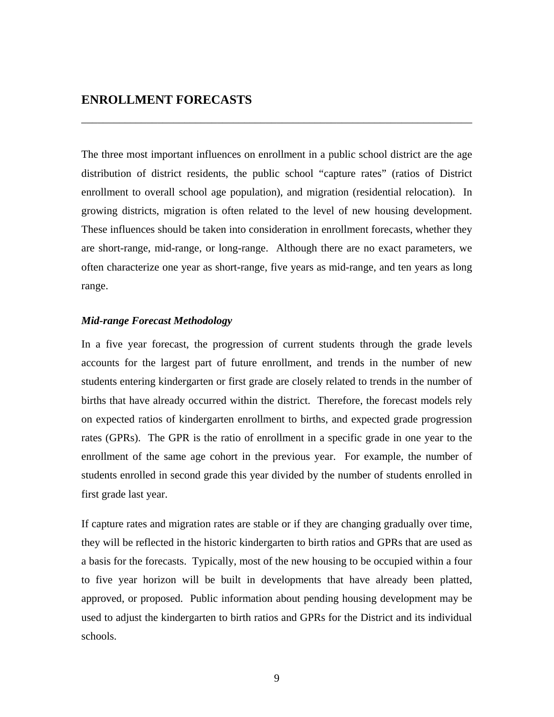# **ENROLLMENT FORECASTS**

The three most important influences on enrollment in a public school district are the age distribution of district residents, the public school "capture rates" (ratios of District enrollment to overall school age population), and migration (residential relocation). In growing districts, migration is often related to the level of new housing development. These influences should be taken into consideration in enrollment forecasts, whether they are short-range, mid-range, or long-range. Although there are no exact parameters, we often characterize one year as short-range, five years as mid-range, and ten years as long range.

\_\_\_\_\_\_\_\_\_\_\_\_\_\_\_\_\_\_\_\_\_\_\_\_\_\_\_\_\_\_\_\_\_\_\_\_\_\_\_\_\_\_\_\_\_\_\_\_\_\_\_\_\_\_\_\_\_\_\_\_\_\_\_\_\_\_\_\_\_\_\_\_

### *Mid-range Forecast Methodology*

In a five year forecast, the progression of current students through the grade levels accounts for the largest part of future enrollment, and trends in the number of new students entering kindergarten or first grade are closely related to trends in the number of births that have already occurred within the district. Therefore, the forecast models rely on expected ratios of kindergarten enrollment to births, and expected grade progression rates (GPRs). The GPR is the ratio of enrollment in a specific grade in one year to the enrollment of the same age cohort in the previous year. For example, the number of students enrolled in second grade this year divided by the number of students enrolled in first grade last year.

If capture rates and migration rates are stable or if they are changing gradually over time, they will be reflected in the historic kindergarten to birth ratios and GPRs that are used as a basis for the forecasts. Typically, most of the new housing to be occupied within a four to five year horizon will be built in developments that have already been platted, approved, or proposed. Public information about pending housing development may be used to adjust the kindergarten to birth ratios and GPRs for the District and its individual schools.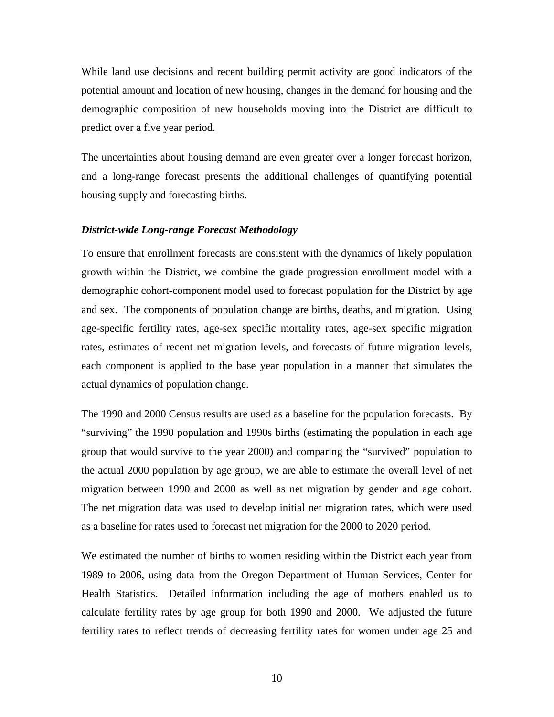While land use decisions and recent building permit activity are good indicators of the potential amount and location of new housing, changes in the demand for housing and the demographic composition of new households moving into the District are difficult to predict over a five year period.

The uncertainties about housing demand are even greater over a longer forecast horizon, and a long-range forecast presents the additional challenges of quantifying potential housing supply and forecasting births.

#### *District-wide Long-range Forecast Methodology*

To ensure that enrollment forecasts are consistent with the dynamics of likely population growth within the District, we combine the grade progression enrollment model with a demographic cohort-component model used to forecast population for the District by age and sex. The components of population change are births, deaths, and migration. Using age-specific fertility rates, age-sex specific mortality rates, age-sex specific migration rates, estimates of recent net migration levels, and forecasts of future migration levels, each component is applied to the base year population in a manner that simulates the actual dynamics of population change.

The 1990 and 2000 Census results are used as a baseline for the population forecasts. By "surviving" the 1990 population and 1990s births (estimating the population in each age group that would survive to the year 2000) and comparing the "survived" population to the actual 2000 population by age group, we are able to estimate the overall level of net migration between 1990 and 2000 as well as net migration by gender and age cohort. The net migration data was used to develop initial net migration rates, which were used as a baseline for rates used to forecast net migration for the 2000 to 2020 period.

We estimated the number of births to women residing within the District each year from 1989 to 2006, using data from the Oregon Department of Human Services, Center for Health Statistics. Detailed information including the age of mothers enabled us to calculate fertility rates by age group for both 1990 and 2000. We adjusted the future fertility rates to reflect trends of decreasing fertility rates for women under age 25 and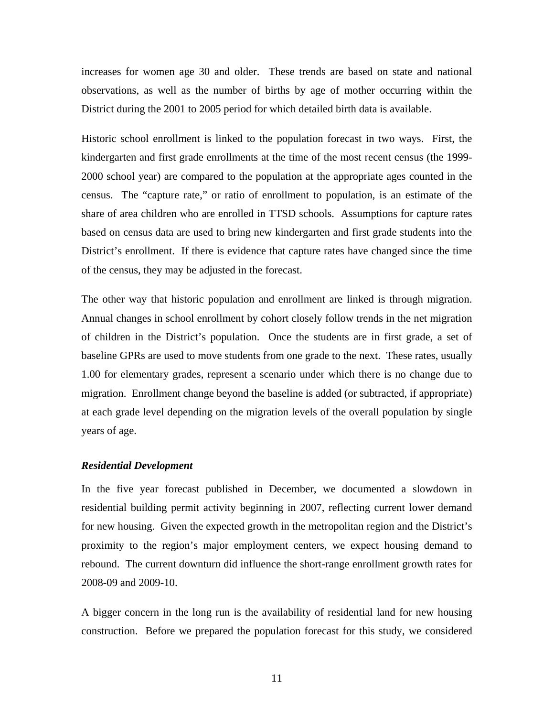increases for women age 30 and older. These trends are based on state and national observations, as well as the number of births by age of mother occurring within the District during the 2001 to 2005 period for which detailed birth data is available.

Historic school enrollment is linked to the population forecast in two ways. First, the kindergarten and first grade enrollments at the time of the most recent census (the 1999- 2000 school year) are compared to the population at the appropriate ages counted in the census. The "capture rate," or ratio of enrollment to population, is an estimate of the share of area children who are enrolled in TTSD schools. Assumptions for capture rates based on census data are used to bring new kindergarten and first grade students into the District's enrollment. If there is evidence that capture rates have changed since the time of the census, they may be adjusted in the forecast.

The other way that historic population and enrollment are linked is through migration. Annual changes in school enrollment by cohort closely follow trends in the net migration of children in the District's population. Once the students are in first grade, a set of baseline GPRs are used to move students from one grade to the next. These rates, usually 1.00 for elementary grades, represent a scenario under which there is no change due to migration. Enrollment change beyond the baseline is added (or subtracted, if appropriate) at each grade level depending on the migration levels of the overall population by single years of age.

### *Residential Development*

In the five year forecast published in December, we documented a slowdown in residential building permit activity beginning in 2007, reflecting current lower demand for new housing. Given the expected growth in the metropolitan region and the District's proximity to the region's major employment centers, we expect housing demand to rebound. The current downturn did influence the short-range enrollment growth rates for 2008-09 and 2009-10.

A bigger concern in the long run is the availability of residential land for new housing construction. Before we prepared the population forecast for this study, we considered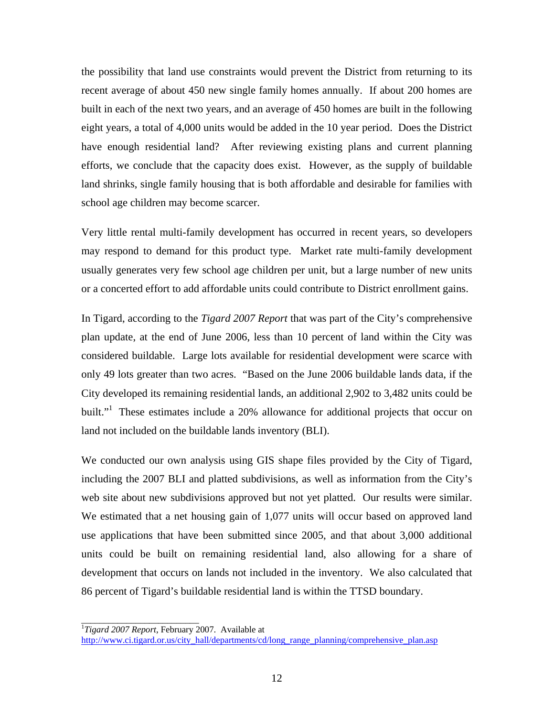the possibility that land use constraints would prevent the District from returning to its recent average of about 450 new single family homes annually. If about 200 homes are built in each of the next two years, and an average of 450 homes are built in the following eight years, a total of 4,000 units would be added in the 10 year period. Does the District have enough residential land? After reviewing existing plans and current planning efforts, we conclude that the capacity does exist. However, as the supply of buildable land shrinks, single family housing that is both affordable and desirable for families with school age children may become scarcer.

Very little rental multi-family development has occurred in recent years, so developers may respond to demand for this product type. Market rate multi-family development usually generates very few school age children per unit, but a large number of new units or a concerted effort to add affordable units could contribute to District enrollment gains.

In Tigard, according to the *Tigard 2007 Report* that was part of the City's comprehensive plan update, at the end of June 2006, less than 10 percent of land within the City was considered buildable. Large lots available for residential development were scarce with only 49 lots greater than two acres. "Based on the June 2006 buildable lands data, if the City developed its remaining residential lands, an additional 2,902 to 3,482 units could be built."<sup>1</sup> These estimates include a 20% allowance for additional projects that occur on land not included on the buildable lands inventory (BLI).

We conducted our own analysis using GIS shape files provided by the City of Tigard, including the 2007 BLI and platted subdivisions, as well as information from the City's web site about new subdivisions approved but not yet platted. Our results were similar. We estimated that a net housing gain of 1,077 units will occur based on approved land use applications that have been submitted since 2005, and that about 3,000 additional units could be built on remaining residential land, also allowing for a share of development that occurs on lands not included in the inventory. We also calculated that 86 percent of Tigard's buildable residential land is within the TTSD boundary.

\_\_\_\_\_\_\_\_\_\_\_\_\_\_\_\_\_\_\_\_\_\_\_\_\_\_

<sup>1</sup> *Tigard 2007 Report*, February 2007. Available at

http://www.ci.tigard.or.us/city\_hall/departments/cd/long\_range\_planning/comprehensive\_plan.asp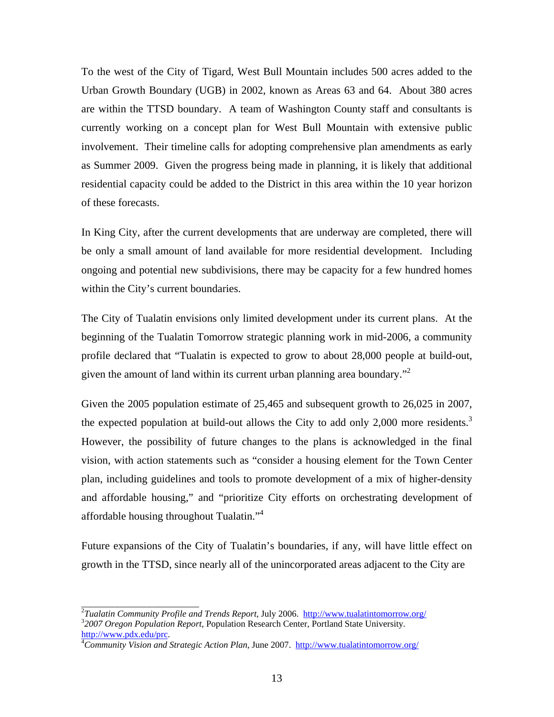To the west of the City of Tigard, West Bull Mountain includes 500 acres added to the Urban Growth Boundary (UGB) in 2002, known as Areas 63 and 64. About 380 acres are within the TTSD boundary. A team of Washington County staff and consultants is currently working on a concept plan for West Bull Mountain with extensive public involvement. Their timeline calls for adopting comprehensive plan amendments as early as Summer 2009. Given the progress being made in planning, it is likely that additional residential capacity could be added to the District in this area within the 10 year horizon of these forecasts.

In King City, after the current developments that are underway are completed, there will be only a small amount of land available for more residential development. Including ongoing and potential new subdivisions, there may be capacity for a few hundred homes within the City's current boundaries.

The City of Tualatin envisions only limited development under its current plans. At the beginning of the Tualatin Tomorrow strategic planning work in mid-2006, a community profile declared that "Tualatin is expected to grow to about 28,000 people at build-out, given the amount of land within its current urban planning area boundary."<sup>2</sup>

Given the 2005 population estimate of 25,465 and subsequent growth to 26,025 in 2007, the expected population at build-out allows the City to add only 2,000 more residents.<sup>3</sup> However, the possibility of future changes to the plans is acknowledged in the final vision, with action statements such as "consider a housing element for the Town Center plan, including guidelines and tools to promote development of a mix of higher-density and affordable housing," and "prioritize City efforts on orchestrating development of affordable housing throughout Tualatin."<sup>4</sup>

Future expansions of the City of Tualatin's boundaries, if any, will have little effect on growth in the TTSD, since nearly all of the unincorporated areas adjacent to the City are

<sup>&</sup>lt;sup>2</sup><br>Tualatin Community Profile and Trends Report, July 2006. http://www.tualatintomorrow.org/<br><sup>3</sup>2007 Oragon Bopylation Boport, Bopylation Bossorsh Contagneting State University *2007 Oregon Population Report,* Population Research Center, Portland State University. http://www.pdx.edu/prc. 4

*Community Vision and Strategic Action Plan*, June 2007. http://www.tualatintomorrow.org/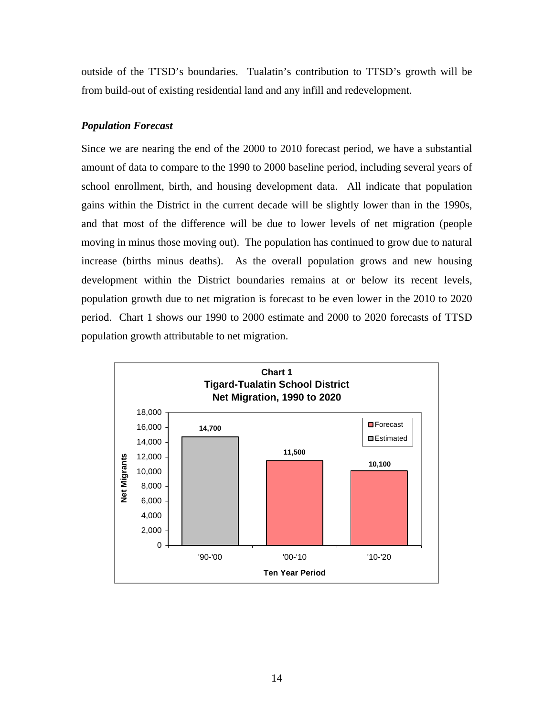outside of the TTSD's boundaries. Tualatin's contribution to TTSD's growth will be from build-out of existing residential land and any infill and redevelopment.

## *Population Forecast*

Since we are nearing the end of the 2000 to 2010 forecast period, we have a substantial amount of data to compare to the 1990 to 2000 baseline period, including several years of school enrollment, birth, and housing development data. All indicate that population gains within the District in the current decade will be slightly lower than in the 1990s, and that most of the difference will be due to lower levels of net migration (people moving in minus those moving out). The population has continued to grow due to natural increase (births minus deaths). As the overall population grows and new housing development within the District boundaries remains at or below its recent levels, population growth due to net migration is forecast to be even lower in the 2010 to 2020 period. Chart 1 shows our 1990 to 2000 estimate and 2000 to 2020 forecasts of TTSD population growth attributable to net migration.

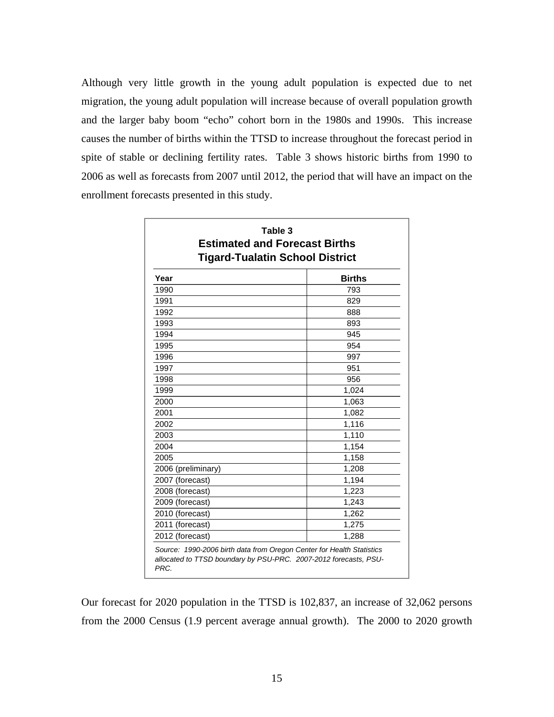Although very little growth in the young adult population is expected due to net migration, the young adult population will increase because of overall population growth and the larger baby boom "echo" cohort born in the 1980s and 1990s. This increase causes the number of births within the TTSD to increase throughout the forecast period in spite of stable or declining fertility rates. Table 3 shows historic births from 1990 to 2006 as well as forecasts from 2007 until 2012, the period that will have an impact on the enrollment forecasts presented in this study.

| Table 3<br><b>Estimated and Forecast Births</b><br><b>Tigard-Tualatin School District</b> |               |  |  |  |  |  |
|-------------------------------------------------------------------------------------------|---------------|--|--|--|--|--|
| Year                                                                                      | <b>Births</b> |  |  |  |  |  |
| 1990                                                                                      | 793           |  |  |  |  |  |
| 1991                                                                                      | 829           |  |  |  |  |  |
| 1992                                                                                      | 888           |  |  |  |  |  |
| 1993                                                                                      | 893           |  |  |  |  |  |
| 1994                                                                                      | 945           |  |  |  |  |  |
| 1995                                                                                      | 954           |  |  |  |  |  |
| 1996                                                                                      | 997           |  |  |  |  |  |
| 1997                                                                                      | 951           |  |  |  |  |  |
| 1998                                                                                      | 956           |  |  |  |  |  |
| 1999                                                                                      | 1,024         |  |  |  |  |  |
| 2000                                                                                      | 1,063         |  |  |  |  |  |
| 2001                                                                                      | 1,082         |  |  |  |  |  |
| 2002                                                                                      | 1,116         |  |  |  |  |  |
| 2003                                                                                      | 1,110         |  |  |  |  |  |
| 2004                                                                                      | 1,154         |  |  |  |  |  |
| 2005                                                                                      | 1,158         |  |  |  |  |  |
| 2006 (preliminary)                                                                        | 1,208         |  |  |  |  |  |
| 2007 (forecast)                                                                           | 1,194         |  |  |  |  |  |
| 2008 (forecast)                                                                           | 1,223         |  |  |  |  |  |
| 2009 (forecast)                                                                           | 1,243         |  |  |  |  |  |
| 2010 (forecast)                                                                           | 1,262         |  |  |  |  |  |
| 2011 (forecast)                                                                           | 1,275         |  |  |  |  |  |
| 2012 (forecast)                                                                           | 1,288         |  |  |  |  |  |

Our forecast for 2020 population in the TTSD is 102,837, an increase of 32,062 persons from the 2000 Census (1.9 percent average annual growth). The 2000 to 2020 growth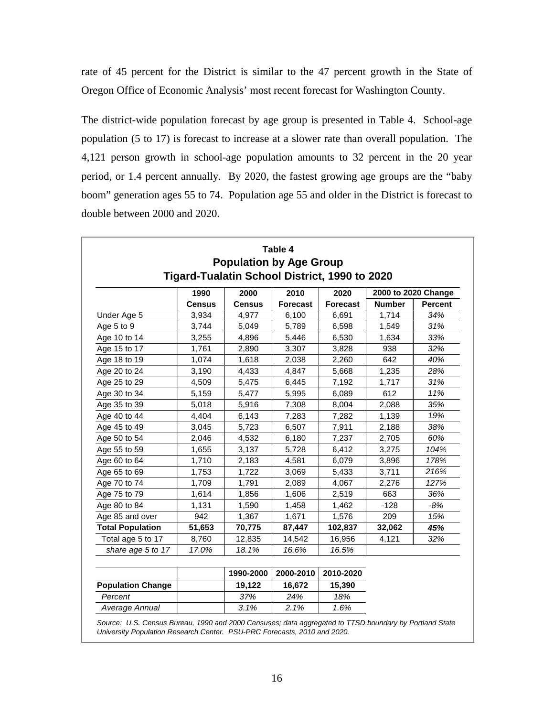rate of 45 percent for the District is similar to the 47 percent growth in the State of Oregon Office of Economic Analysis' most recent forecast for Washington County.

The district-wide population forecast by age group is presented in Table 4. School-age population (5 to 17) is forecast to increase at a slower rate than overall population. The 4,121 person growth in school-age population amounts to 32 percent in the 20 year period, or 1.4 percent annually. By 2020, the fastest growing age groups are the "baby boom" generation ages 55 to 74. Population age 55 and older in the District is forecast to double between 2000 and 2020.

|                          | 1990          |                       | Tigard-Tualatin School District, 1990 to 2020<br>2000 to 2020 Change |                         |               |                |
|--------------------------|---------------|-----------------------|----------------------------------------------------------------------|-------------------------|---------------|----------------|
|                          | <b>Census</b> | 2000<br><b>Census</b> | 2010<br><b>Forecast</b>                                              | 2020<br><b>Forecast</b> | <b>Number</b> | <b>Percent</b> |
| Under Age 5              | 3,934         | 4,977                 | 6,100                                                                | 6,691                   | 1,714         | 34%            |
| Age 5 to 9               | 3,744         | 5,049                 | 5,789                                                                | 6,598                   | 1,549         | 31%            |
| Age 10 to 14             | 3,255         | 4,896                 | 5,446                                                                | 6,530                   | 1,634         | 33%            |
| Age 15 to 17             | 1,761         | 2,890                 | 3,307                                                                | 3,828                   | 938           | 32%            |
| Age 18 to 19             | 1,074         | 1,618                 | 2,038                                                                | 2,260                   | 642           | 40%            |
| Age 20 to 24             | 3,190         | 4,433                 | 4,847                                                                | 5,668                   | 1,235         | 28%            |
| Age 25 to 29             | 4,509         | 5,475                 | 6,445                                                                | 7,192                   | 1,717         | 31%            |
| Age 30 to 34             | 5,159         | 5,477                 | 5,995                                                                | 6,089                   | 612           | 11%            |
| Age 35 to 39             | 5,018         | 5,916                 | 7,308                                                                | 8,004                   | 2,088         | 35%            |
| Age 40 to 44             | 4,404         | 6,143                 | 7,283                                                                | 7,282                   | 1,139         | 19%            |
| Age 45 to 49             | 3,045         | 5,723                 | 6,507                                                                | 7,911                   | 2,188         | 38%            |
| Age 50 to 54             | 2,046         | 4,532                 | 6,180                                                                | 7,237                   | 2,705         | 60%            |
| Age 55 to 59             | 1,655         | 3,137                 | 5,728                                                                | 6,412                   | 3,275         | 104%           |
| Age 60 to 64             | 1,710         | 2,183                 | 4,581                                                                | 6,079                   | 3,896         | 178%           |
| Age 65 to 69             | 1,753         | 1,722                 | 3,069                                                                | 5,433                   | 3,711         | 216%           |
| Age 70 to 74             | 1,709         | 1,791                 | 2,089                                                                | 4,067                   | 2,276         | 127%           |
| Age 75 to 79             | 1,614         | 1,856                 | 1,606                                                                | 2,519                   | 663           | 36%            |
| Age 80 to 84             | 1,131         | 1,590                 | 1,458                                                                | 1,462                   | $-128$        | -8%            |
| Age 85 and over          | 942           | 1,367                 | 1,671                                                                | 1,576                   | 209           | 15%            |
| <b>Total Population</b>  | 51,653        | 70,775                | 87,447                                                               | 102,837                 | 32,062        | 45%            |
| Total age 5 to 17        | 8,760         | 12,835                | 14,542                                                               | 16,956                  | 4,121         | 32%            |
| share age 5 to 17        | 17.0%         | 18.1%                 | 16.6%                                                                | 16.5%                   |               |                |
|                          |               | 1990-2000             | 2000-2010                                                            | 2010-2020               |               |                |
| <b>Population Change</b> |               | 19,122                | 16,672                                                               | 15,390                  |               |                |
| Percent                  |               | 37%                   | 24%                                                                  | 18%                     |               |                |
| Average Annual           |               | 3.1%                  | 2.1%                                                                 | 1.6%                    |               |                |

*Source: U.S. Census Bureau, 1990 and 2000 Censuses; data aggregated to TTSD boundary by Portland State University Population Research Center. PSU-PRC Forecasts, 2010 and 2020.*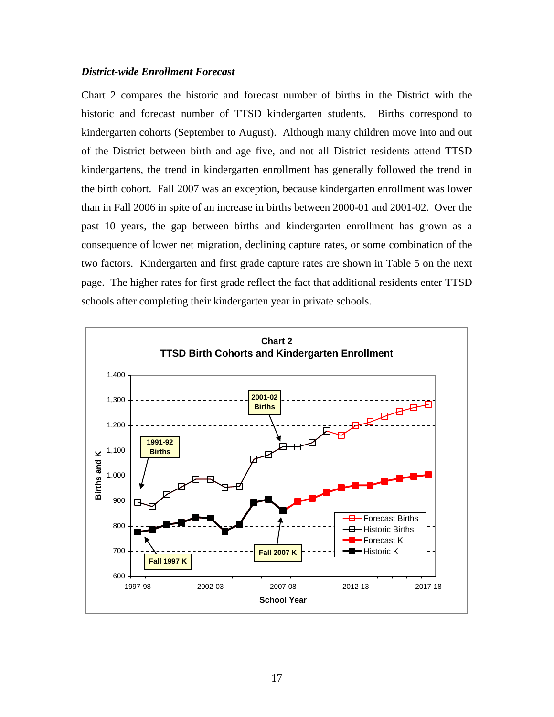#### *District-wide Enrollment Forecast*

Chart 2 compares the historic and forecast number of births in the District with the historic and forecast number of TTSD kindergarten students. Births correspond to kindergarten cohorts (September to August). Although many children move into and out of the District between birth and age five, and not all District residents attend TTSD kindergartens, the trend in kindergarten enrollment has generally followed the trend in the birth cohort. Fall 2007 was an exception, because kindergarten enrollment was lower than in Fall 2006 in spite of an increase in births between 2000-01 and 2001-02. Over the past 10 years, the gap between births and kindergarten enrollment has grown as a consequence of lower net migration, declining capture rates, or some combination of the two factors. Kindergarten and first grade capture rates are shown in Table 5 on the next page. The higher rates for first grade reflect the fact that additional residents enter TTSD schools after completing their kindergarten year in private schools.

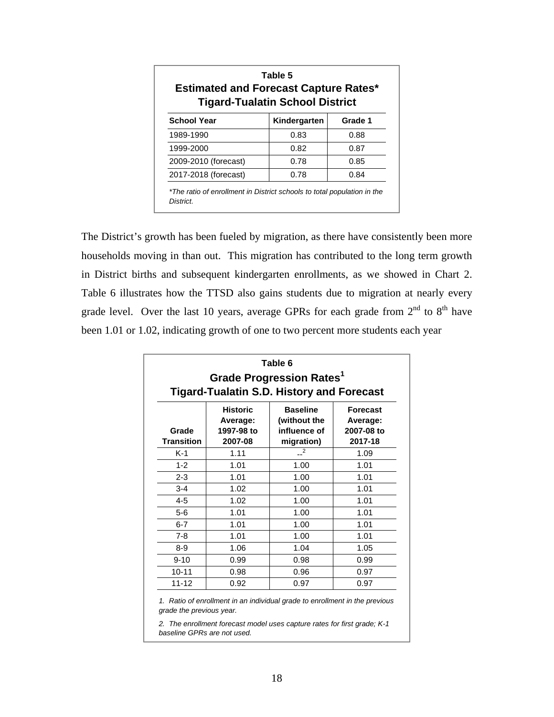| <b>Estimated and Forecast Capture Rates*</b><br><b>Tigard-Tualatin School District</b> |              |         |  |  |  |  |  |  |  |  |
|----------------------------------------------------------------------------------------|--------------|---------|--|--|--|--|--|--|--|--|
| <b>School Year</b>                                                                     | Kindergarten | Grade 1 |  |  |  |  |  |  |  |  |
| 1989-1990                                                                              | 0.83         | 0.88    |  |  |  |  |  |  |  |  |
| 1999-2000                                                                              | 0.82         | 0.87    |  |  |  |  |  |  |  |  |
| 2009-2010 (forecast)                                                                   | 0.78         | 0.85    |  |  |  |  |  |  |  |  |
| 2017-2018 (forecast)                                                                   | 0.78         | 0.84    |  |  |  |  |  |  |  |  |

The District's growth has been fueled by migration, as there have consistently been more households moving in than out. This migration has contributed to the long term growth in District births and subsequent kindergarten enrollments, as we showed in Chart 2. Table 6 illustrates how the TTSD also gains students due to migration at nearly every grade level. Over the last 10 years, average GPRs for each grade from  $2^{nd}$  to  $8^{th}$  have been 1.01 or 1.02, indicating growth of one to two percent more students each year

| Grade Progression Rates <sup>1</sup><br><b>Tigard-Tualatin S.D. History and Forecast</b> |                                                      |                                                               |                                                      |  |  |  |  |  |  |  |
|------------------------------------------------------------------------------------------|------------------------------------------------------|---------------------------------------------------------------|------------------------------------------------------|--|--|--|--|--|--|--|
| Grade<br><b>Transition</b>                                                               | <b>Historic</b><br>Average:<br>1997-98 to<br>2007-08 | <b>Baseline</b><br>(without the<br>influence of<br>migration) | <b>Forecast</b><br>Average:<br>2007-08 to<br>2017-18 |  |  |  |  |  |  |  |
| $K-1$                                                                                    | 1.11                                                 | 2                                                             | 1.09                                                 |  |  |  |  |  |  |  |
| $1 - 2$                                                                                  | 1.01                                                 | 1.00                                                          | 1.01                                                 |  |  |  |  |  |  |  |
| $2 - 3$                                                                                  | 1.01                                                 | 1.00                                                          | 1.01                                                 |  |  |  |  |  |  |  |
| $3 - 4$                                                                                  | 1.02                                                 | 1.00                                                          | 1.01                                                 |  |  |  |  |  |  |  |
| $4 - 5$                                                                                  | 1.02                                                 | 1.00                                                          | 1.01                                                 |  |  |  |  |  |  |  |
| $5-6$                                                                                    | 1.01                                                 | 1.00                                                          | 1.01                                                 |  |  |  |  |  |  |  |
| $6 - 7$                                                                                  | 1.01                                                 | 1.00                                                          | 1.01                                                 |  |  |  |  |  |  |  |
| $7 - 8$                                                                                  | 1.01                                                 | 1.00                                                          | 1.01                                                 |  |  |  |  |  |  |  |
| $8 - 9$                                                                                  | 1.06                                                 | 1.04                                                          | 1.05                                                 |  |  |  |  |  |  |  |
| $9 - 10$                                                                                 | 0.99                                                 | 0.98                                                          | 0.99                                                 |  |  |  |  |  |  |  |
| $10 - 11$                                                                                | 0.98                                                 | 0.96                                                          | 0.97                                                 |  |  |  |  |  |  |  |
| $11 - 12$                                                                                | 0.92                                                 | 0.97                                                          | 0.97                                                 |  |  |  |  |  |  |  |

*2. The enrollment forecast model uses capture rates for first grade; K-1 baseline GPRs are not used.*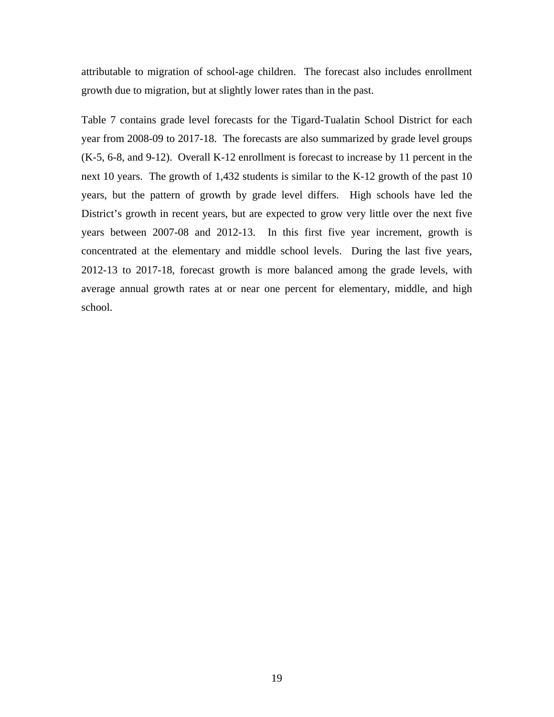attributable to migration of school-age children. The forecast also includes enrollment growth due to migration, but at slightly lower rates than in the past.

Table 7 contains grade level forecasts for the Tigard-Tualatin School District for each year from 2008-09 to 2017-18. The forecasts are also summarized by grade level groups (K-5, 6-8, and 9-12). Overall K-12 enrollment is forecast to increase by 11 percent in the next 10 years. The growth of 1,432 students is similar to the K-12 growth of the past 10 years, but the pattern of growth by grade level differs. High schools have led the District's growth in recent years, but are expected to grow very little over the next five years between 2007-08 and 2012-13. In this first five year increment, growth is concentrated at the elementary and middle school levels. During the last five years, 2012-13 to 2017-18, forecast growth is more balanced among the grade levels, with average annual growth rates at or near one percent for elementary, middle, and high school.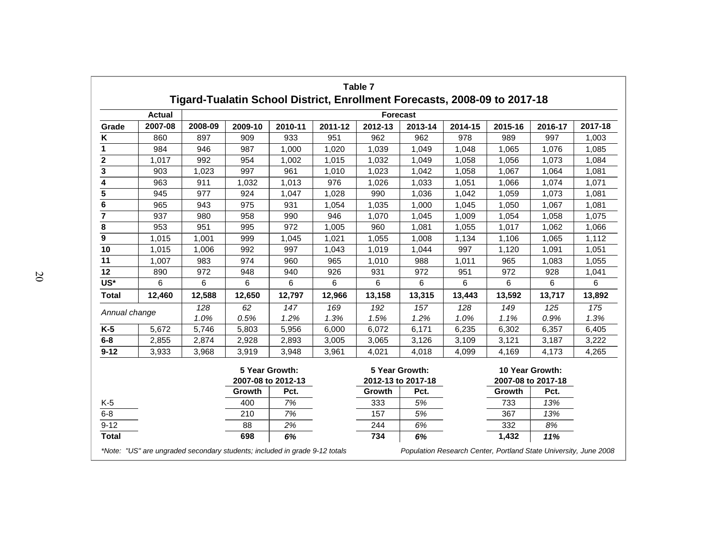|                |               |             | Tigard-Tualatin School District, Enrollment Forecasts, 2008-09 to 2017-18 |                                      |             | Table 7         |                                      |             |             |                                       |             |
|----------------|---------------|-------------|---------------------------------------------------------------------------|--------------------------------------|-------------|-----------------|--------------------------------------|-------------|-------------|---------------------------------------|-------------|
|                | <b>Actual</b> |             |                                                                           |                                      |             | <b>Forecast</b> |                                      |             |             |                                       |             |
| Grade          | 2007-08       | 2008-09     | 2009-10                                                                   | 2010-11                              | 2011-12     | 2012-13         | 2013-14                              | 2014-15     | 2015-16     | 2016-17                               | 2017-18     |
| Κ              | 860           | 897         | 909                                                                       | 933                                  | 951         | 962             | 962                                  | 978         | 989         | 997                                   | 1,003       |
| 1              | 984           | 946         | 987                                                                       | 1,000                                | 1,020       | 1,039           | 1,049                                | 1,048       | 1,065       | 1,076                                 | 1,085       |
| 2              | 1,017         | 992         | 954                                                                       | 1,002                                | 1,015       | 1,032           | 1,049                                | 1,058       | 1,056       | 1,073                                 | 1,084       |
| 3              | 903           | 1,023       | 997                                                                       | 961                                  | 1,010       | 1,023           | 1,042                                | 1,058       | 1,067       | 1,064                                 | 1,081       |
| 4              | 963           | 911         | 1,032                                                                     | 1,013                                | 976         | 1,026           | 1,033                                | 1,051       | 1,066       | 1,074                                 | 1,071       |
| 5              | 945           | 977         | 924                                                                       | 1,047                                | 1,028       | 990             | 1,036                                | 1,042       | 1,059       | 1,073                                 | 1,081       |
| 6              | 965           | 943         | 975                                                                       | 931                                  | 1,054       | 1,035           | 1,000                                | 1,045       | 1,050       | 1,067                                 | 1,081       |
| $\overline{7}$ | 937           | 980         | 958                                                                       | 990                                  | 946         | 1,070           | 1,045                                | 1,009       | 1,054       | 1,058                                 | 1,075       |
| 8              | 953           | 951         | 995                                                                       | 972                                  | 1,005       | 960             | 1,081                                | 1,055       | 1,017       | 1,062                                 | 1,066       |
| 9              | 1,015         | 1,001       | 999                                                                       | 1,045                                | 1,021       | 1,055           | 1,008                                | 1,134       | 1,106       | 1,065                                 | 1,112       |
| 10             | 1,015         | 1,006       | 992                                                                       | 997                                  | 1,043       | 1,019           | 1,044                                | 997         | 1,120       | 1,091                                 | 1,051       |
| 11             | 1,007         | 983         | 974                                                                       | 960                                  | 965         | 1,010           | 988                                  | 1,011       | 965         | 1,083                                 | 1,055       |
| 12             | 890           | 972         | 948                                                                       | 940                                  | 926         | 931             | 972                                  | 951         | 972         | 928                                   | 1,041       |
| US*            | 6             | 6           | 6                                                                         | 6                                    | 6           | 6               | 6                                    | 6           | 6           | 6                                     | 6           |
| <b>Total</b>   | 12,460        | 12,588      | 12,650                                                                    | 12,797                               | 12,966      | 13,158          | 13,315                               | 13,443      | 13,592      | 13,717                                | 13,892      |
| Annual change  |               | 128<br>1.0% | 62<br>0.5%                                                                | 147<br>1.2%                          | 169<br>1.3% | 192<br>1.5%     | 157<br>1.2%                          | 128<br>1.0% | 149<br>1.1% | 125<br>0.9%                           | 175<br>1.3% |
| $K-5$          | 5,672         | 5,746       | 5,803                                                                     | 5,956                                | 6,000       | 6,072           | 6,171                                | 6,235       | 6,302       | 6,357                                 | 6,405       |
| $6-8$          | 2,855         | 2,874       | 2,928                                                                     | 2,893                                | 3,005       | 3,065           | 3,126                                | 3,109       | 3,121       | 3,187                                 | 3,222       |
| $9 - 12$       | 3,933         | 3,968       | 3,919                                                                     | 3,948                                | 3,961       | 4,021           | 4,018                                | 4,099       | 4,169       | 4,173                                 | 4,265       |
|                |               |             |                                                                           | 5 Year Growth:<br>2007-08 to 2012-13 |             |                 | 5 Year Growth:<br>2012-13 to 2017-18 |             |             | 10 Year Growth:<br>2007-08 to 2017-18 |             |
|                |               |             | Growth                                                                    | Pct.                                 |             | Growth          | Pct.                                 |             | Growth      | Pct.                                  |             |
| $K-5$          |               |             | 400                                                                       | 7%                                   |             | 333             | 5%                                   |             | 733         | 13%                                   |             |
| $6 - 8$        |               |             | 210                                                                       | 7%                                   |             | 157             | 5%                                   |             | 367         | 13%                                   |             |
| $9 - 12$       |               |             | 88                                                                        | 2%                                   |             | 244             | 6%                                   |             | 332         | 8%                                    |             |
| <b>Total</b>   |               |             | 698                                                                       | 6%                                   |             | 734             | 6%                                   |             | 1,432       | 11%                                   |             |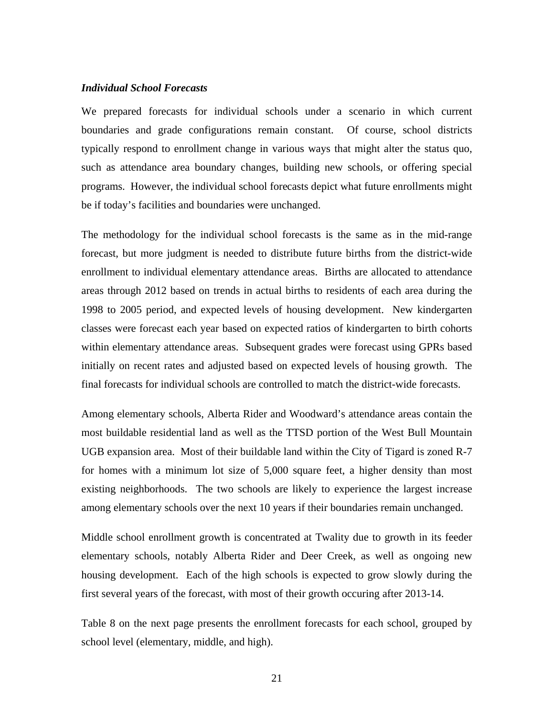#### *Individual School Forecasts*

We prepared forecasts for individual schools under a scenario in which current boundaries and grade configurations remain constant. Of course, school districts typically respond to enrollment change in various ways that might alter the status quo, such as attendance area boundary changes, building new schools, or offering special programs. However, the individual school forecasts depict what future enrollments might be if today's facilities and boundaries were unchanged.

The methodology for the individual school forecasts is the same as in the mid-range forecast, but more judgment is needed to distribute future births from the district-wide enrollment to individual elementary attendance areas. Births are allocated to attendance areas through 2012 based on trends in actual births to residents of each area during the 1998 to 2005 period, and expected levels of housing development. New kindergarten classes were forecast each year based on expected ratios of kindergarten to birth cohorts within elementary attendance areas. Subsequent grades were forecast using GPRs based initially on recent rates and adjusted based on expected levels of housing growth. The final forecasts for individual schools are controlled to match the district-wide forecasts.

Among elementary schools, Alberta Rider and Woodward's attendance areas contain the most buildable residential land as well as the TTSD portion of the West Bull Mountain UGB expansion area. Most of their buildable land within the City of Tigard is zoned R-7 for homes with a minimum lot size of 5,000 square feet, a higher density than most existing neighborhoods. The two schools are likely to experience the largest increase among elementary schools over the next 10 years if their boundaries remain unchanged.

Middle school enrollment growth is concentrated at Twality due to growth in its feeder elementary schools, notably Alberta Rider and Deer Creek, as well as ongoing new housing development. Each of the high schools is expected to grow slowly during the first several years of the forecast, with most of their growth occuring after 2013-14.

Table 8 on the next page presents the enrollment forecasts for each school, grouped by school level (elementary, middle, and high).